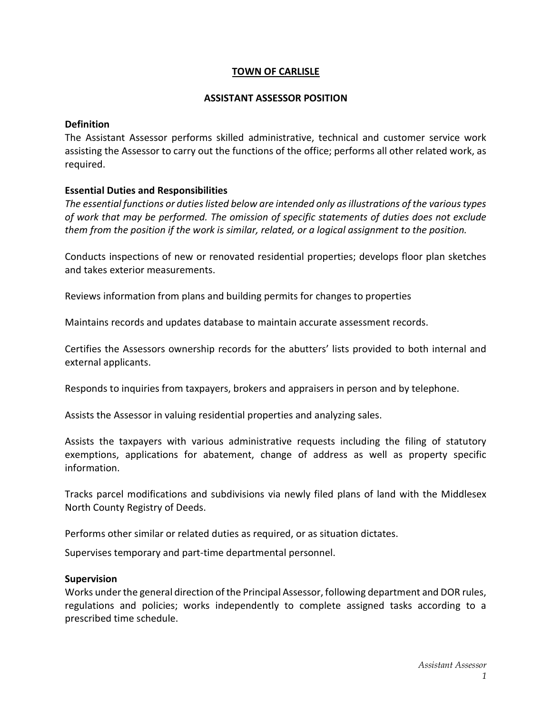## TOWN OF CARLISLE

#### ASSISTANT ASSESSOR POSITION

#### Definition

The Assistant Assessor performs skilled administrative, technical and customer service work assisting the Assessor to carry out the functions of the office; performs all other related work, as required.

### Essential Duties and Responsibilities

The essential functions or duties listed below are intended only as illustrations of the various types of work that may be performed. The omission of specific statements of duties does not exclude them from the position if the work is similar, related, or a logical assignment to the position.

Conducts inspections of new or renovated residential properties; develops floor plan sketches and takes exterior measurements.

Reviews information from plans and building permits for changes to properties

Maintains records and updates database to maintain accurate assessment records.

Certifies the Assessors ownership records for the abutters' lists provided to both internal and external applicants.

Responds to inquiries from taxpayers, brokers and appraisers in person and by telephone.

Assists the Assessor in valuing residential properties and analyzing sales.

Assists the taxpayers with various administrative requests including the filing of statutory exemptions, applications for abatement, change of address as well as property specific information.

Tracks parcel modifications and subdivisions via newly filed plans of land with the Middlesex North County Registry of Deeds.

Performs other similar or related duties as required, or as situation dictates.

Supervises temporary and part-time departmental personnel.

### Supervision

Works under the general direction of the Principal Assessor, following department and DOR rules, regulations and policies; works independently to complete assigned tasks according to a prescribed time schedule.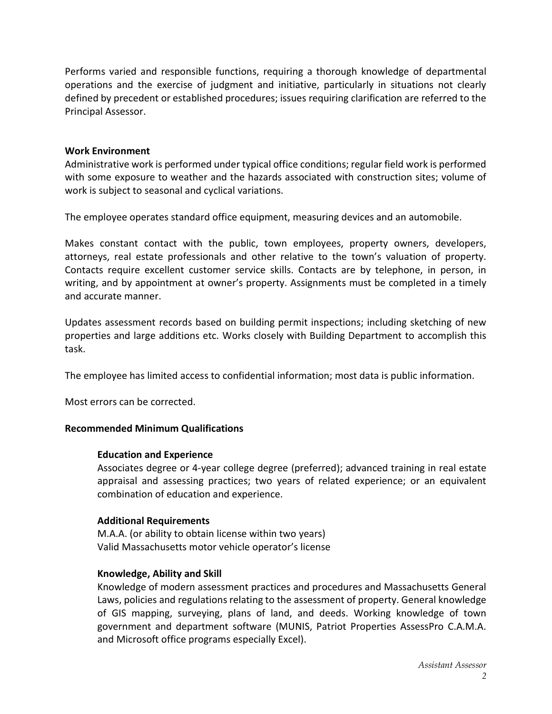Performs varied and responsible functions, requiring a thorough knowledge of departmental operations and the exercise of judgment and initiative, particularly in situations not clearly defined by precedent or established procedures; issues requiring clarification are referred to the Principal Assessor.

### Work Environment

Administrative work is performed under typical office conditions; regular field work is performed with some exposure to weather and the hazards associated with construction sites; volume of work is subject to seasonal and cyclical variations.

The employee operates standard office equipment, measuring devices and an automobile.

Makes constant contact with the public, town employees, property owners, developers, attorneys, real estate professionals and other relative to the town's valuation of property. Contacts require excellent customer service skills. Contacts are by telephone, in person, in writing, and by appointment at owner's property. Assignments must be completed in a timely and accurate manner.

Updates assessment records based on building permit inspections; including sketching of new properties and large additions etc. Works closely with Building Department to accomplish this task.

The employee has limited access to confidential information; most data is public information.

Most errors can be corrected.

# Recommended Minimum Qualifications

### Education and Experience

Associates degree or 4-year college degree (preferred); advanced training in real estate appraisal and assessing practices; two years of related experience; or an equivalent combination of education and experience.

# Additional Requirements

M.A.A. (or ability to obtain license within two years) Valid Massachusetts motor vehicle operator's license

# Knowledge, Ability and Skill

Knowledge of modern assessment practices and procedures and Massachusetts General Laws, policies and regulations relating to the assessment of property. General knowledge of GIS mapping, surveying, plans of land, and deeds. Working knowledge of town government and department software (MUNIS, Patriot Properties AssessPro C.A.M.A. and Microsoft office programs especially Excel).